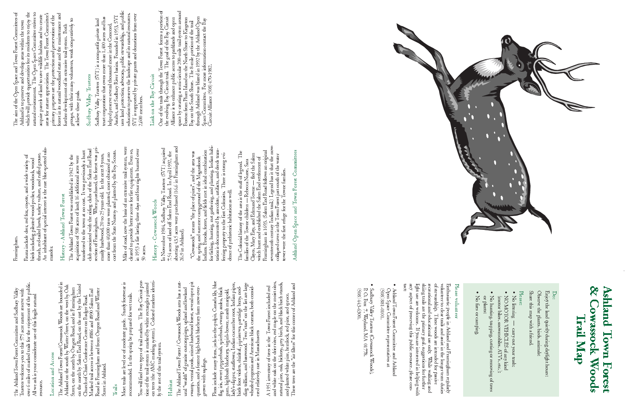Trustees welcome you to this 575 acre nature reserve with<br>over 6 miles of marked trails for the enjoyment of the public.<br>All we ask is your considerate use of this fragile natural over 6 miles of marked trails for the enjoyment of the public. The Ashland Town Forest Committee and Sudbury Valley The Ashland Town Forest Committee and Sudbury Valley Trustees welcome you to this 575 acre nature reserve with All we ask is your considerate use of this fragile natural resource resource.

## Location and Access Location and Access

The Ashland Town Forest/Cowasock Woods are bounded in Ashland on the south by Winter Street, on the west by Oak Street, on the north by Oregon Road, and in Framingham on the north by Salem End Road, on the east by the Unit The Ashland Town Forest/Cowassock Woods are bounded in Ashland on the south by Winter Street, on the west by Oak on the north by Salem End Road, on the east by the United Street, on the north by Oregon Road, and in Framingham Road in Framingham and from Oregon Road and Winter Marked trail access is between #886 and #890 Salem End Church of Christ Conference Center on Badger Road. Street in Ashland.

Most trails are level or of moderate grade. Sturdy footwear is<br>recommended. In the spring be prepared for wet trails. Most trails are level or of moderate grade. Sturdy footwear is recommended. In the spring be prepared for wet trails.

You will find two types of trail markers. The Bay Circuit por-You will find two types of trail markers. The Bay Circuit porirs idention trees (the AMC marking system). Colored markers identition of the trail system is marked by white rectangles painted tangles paint tion of the trail system is marked by white rectangles<br>on trees (the AMC marking system). Colored marke the rest of the trail system. fy the rest of the trail system. trees (the ទី ទី

#### Trails

Flora include many fems, jack-in-the-pulpit, Canada lily, blue<br>flag ins, sweet pepperbush, spicebush, swamp azalea, black<br>gum, highbush blueberry, virgin's-bower, marsh marigold,<br>lady's-slipper, starflower, Indian cucumber Flora include many ferns, jack-in-the-pulpit, Canada lily, blue lady's-slipper, starflower, Indian cucumber root, Indian pipes, ding trillium, and basswood. Two "stars" on the list are large birds foot violets, shinleaf, pipsissewa, partridge berry, nodwhorled pogonia and American black currant, both considflag iris, sweet pepperbush, spicebush, swamp azalea, black gum, highbush blueberry, virgin's-bower, marsh marigold, ered relatively rare in Massachusetts ered relatively rare in Massachusetts

and white oak on the drier sites, red maple on the moist sites, natural pine, oak, hickory, grey birch, and black birch stands, and planted white pine, hemlock, red pine, and spruce. These trees are the "air filters" for t and white oak on the drier sites, red maple on the moist sites, natural pine, oak, hickory, grey birch, and black birch stands, These trees are the "air filters" for this corner of Ashland and A 1951 inventory of trees in the Town Forest included red A 1951 inventory of trees in the Town Forest included red and planted white pine, hemlock, red pine, and spruce.

### Habitat

The Ashland Town Forest / Cowassock Woods area has a natural "wealth" of granite outcroppings, upland and lowland swamp, vernal pools, mixed hardwood forest, several open pit quarries, and a former high-bush blueberry farm The Ashland Town Forest / Cowassock Woods area has a natswamp, vernal pools, mixed hardwood forest, several open pit quarries, and a former high-bush blueberry farm now overural "wealth" of granite outcroppings, upland and lowland grown with saplings. grown with saplings

#### Framingham. Framingham.

Fauna include deer, red fox, coyote, and a wide variety of birds including pileated wood-pecker, woodcock, wood thrush, red-tailed hawk, turkey vulture, and ruffed grouse. An inhabitant of special interest is the rare blue-spotted sala-Faura include deer, red fox, coyote, and a wide variety of<br>birds including pileated wood-pecker, woodcock, wood<br>thrush, red-tailed hawk, turkey vulture, and ruffed grouse.<br>An inhabitant of special interest is the rare blue

## History - Ashland Town Forest - Ashland Town Forest History -

The Ashland Town Forest was established in 1942 by the acquisition of 508 acres of land; 16 additional acres were transferred to the town at no cost. It was previously a hunt club associated with the riding clubs of the S section of Framingham. When purchased, the forest was pricost from the State Nursery and planted by the Boy Scouts. club associated with the riding clubs of the Salem End Road cost from the State Nursery and planted by the Boy Scouts. transferred to the town at no cost. It was previously a hunt more than 40,000 trees were planted, most obtained at no marily hardwood, 20 to 25 years old. In the next 8 years, The Ashland Town Forest was established in 1942 by the acquisition of 508 acres of land; 16 additional acres were

Miles of road, now the basis of an extensive trail system, were cleared to provide better access for fire equipment. Even so, in 1953 a fire lasting three days and four nights burned over Miles of road, now the basis of an extensive trail system, were<br>cleared to provide better access for fire equipment. Even so,<br>in 1953 a fire lasting three days and four nights burned over<br>50 acres.

# History - Cowassock Woods History - Cowassock Woods

In November 1984, Sudbury Valley Trustees (SVT) acquired 7.54 acres of land off Salem End Road. In April 1992, the abuting 43.5 acres were purchased (16.6 in Framingham and abutting 43.5 acres were purchased (16.6 in Framingham and In November 1984, Sudbury Valley Trustees (SVT) acquired 7.54 acres of land off Salem End Road. In April 1992, the 26.9 in Ashland). 26.9 in Ashland).

the sping and summer campground of the Magunkook<br>Indians. Brooks, forest, and fields met in ideal combination<br>for fishing, hunting, nut gathering, and planting, Indian habi-<br>tation is documented by anecdote, artifacts, and for fishing, hunting, nut gathering, and planting. Indian habitation is documented by anecdote, artifacts, and deeds transwas Indians. Brooks, forest, and fields met in ideal combination "Cowassock" means "the place of pines", and the area was ferring property to the first Colonists. There is strong evithe spring and summer campground of the Magunkook "Cowassock" means "the place of pines", and the area dence of prehistoric habitation as well.

The Colonial history of the area is the stuff of legend. The families of the Towne children — Rebecca Nurse, Sara Clayes, Mary Esty, and Edmund Towne — fled the Salem witch hunt and established the Salem End settlement of seventeenth century Indian trail.) Legend has it that the now-The Colonial history of the area is the stuff of legend. The Framingham in 1693. (Salem End Road follows an original Clayes, Mary Esty, and Edmund Towne — fled the Salem collapsed caves in the Town Forest just south of the water witch hunt and established the Salem End settlement of families of the Towne children — Rebecca Nurse, Sara tower were the first refuge for the Towne families.

Ashland Open Space and Town Forest Committees Ashland Open Space and Town Forest Committees

The aim of the Open Space and Town Forest Committees of<br>Ashland is to preserve and develop areas within the town<br>which will provide opportunities for its residents to enjoy the<br>natural environment. The Open Space Committee The aim of the Open Space and Town Forest Committees of which will provide opportunities for its residents to enjoy the natural environment. The Open Space Committee strives to areas for nature appreciation. The Town Forest Committee's forest in its natural woodland state and the maintenance and acquire parcels of land to save wildlife habitats and to create primary purposes are the protection and preservation of the groups, with their many volunteers, work cooperatively to Ashland is to preserve and develop areas within the town further development of its extensive trail system. Both achieve these goals.

# Sudbury Valley Trustees Sudbury Valley Trustees

Sudbury Valley Trustees (SVT) is a nonprofit pirate land<br>trust corporation that owns more than 1,400 acres and has<br>helped preserve several thousand more in the Concord,<br>Assabet, and Sudbury River basins. Founded in 1953, S uses land protection, advocacy, public stewardship, and public education to preserve the landscape and its natural resources. SVT is supported by private grants and donations from over SVT is supported by private grants and donations from over Assabet, and Sudbury River basins. Founded in 1953, SVT trust corporation that owns more than 1,400 acres and has Sudbury Valley Trustees (SVT) is a nonprofit private land helped preserve several thousand more in the Concord, 2,600 members. 2,600 members.

# Link on the Bay Circuit Link on the Bay Circuit

One of the trails through the Town Forest forms a portion of<br>the evolving Bay Circuit trail. The goal of the Bay Circuit<br>Alliance is to enhance public access to parklands and open<br>space by creating a semi-circular 200-mil One of the trails through the Town Forest forms a portion of space by creating a semi-circular 200-mile trail system around the evolving Bay Circuit trail. The goal of the Bay Circuit through Ashland was blazed in 1992 by the Ashland Open Alliance is to enhance public access to parklands and open Boston from Plum Island on the North Shore to Kingston Space Committee. For more information contact the Bay Bay on the South Shore. The 8-mile portion of the trail Circuit Alliance (508) 470-1982.

## & Cowassock Woods Ashland Town Forest & Cowassock Woods Ashland Town Forest Trail Map

Share this map with a friend. Observe the plants, birds, animals; Enjoy the land quietly during daylight hours; Share this map with a friend. Observe the plants, birds, animals; Enjoy the land quietly during daylight hours;

### Please

- No littemg  $N$ o littering  $-$  carry out your trash; carry out your trasin
- NO MOTOR VEHICLES of any kind (motor bikes, snow<br>mobiles,  $\lambda\text{TV}^s, \text{etc.}$ ); NO MOTOR VEHICLES of any kind (motor bikes, snowmobiles,  $\mathrm{ATV}$ 's, etc.);
- No hunting, trapping, cutting or removing of trees or plants; No hunting, trapping, cutting or removing of trees

No fires or camping. No fires or camping.

 $\bullet$ 

### Please volunteer Please volunteer

Enthusiastic people in Ashland and Framingham regularly volunteer to clear trails and assist in the longer term duties of stewardship. These woods are intended for passive recreational and educational use only. While walk tact: any aspect of preserving this public resource, please con light use are welcome. If you are interested in helping with skiing trails are the primary goal, suggestions for further recreational and educational use only. While walking and of stewardship. These woods are intended for passive volunteer to clear trails and assist in the longer term duties Enthusiastic people in Ashland and Framingham regularly

- $\bullet$ (508) 881-0101. Ashland Town Forest Committee and Ashland<br>Open Space Committee representatives at Open Space Committee representatives at Ashland Town Forest Committee and Ashland (508) 881-0101.
- $\bullet$ Sudbury Valley Trustees (Cowassock Woods), P. O. Box 7, Wayland, MA 01778. (508) 443-6300.  $P. O. Box 7, Wayland, MA 01778.$ Sudbury Valley Trustees (Cowassock Woods), (508) 443-6300.



#### Do:

¥